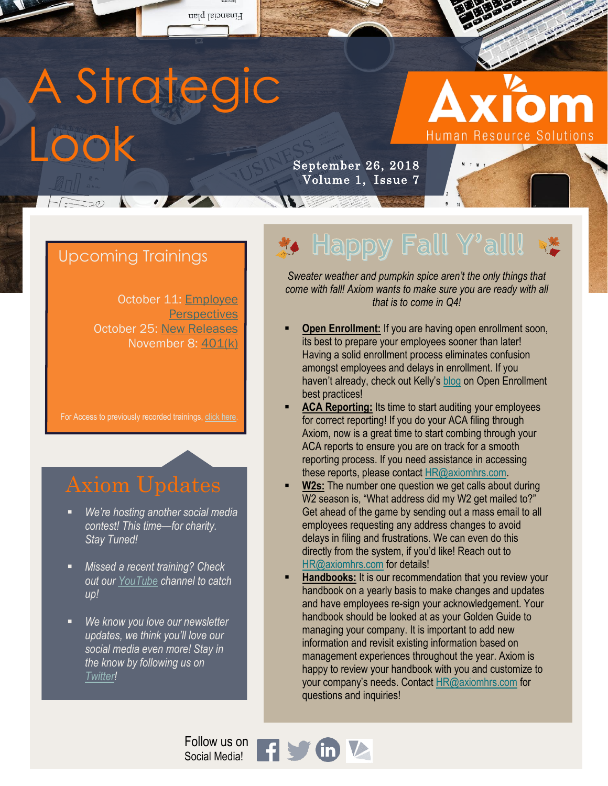

### Upcoming Trainings

October 11: **Employee [Perspectives](https://www.eventbrite.com/e/employee-perspectives-tickets-50786505806)** October 25: [New Releases](https://www.eventbrite.com/e/new-releases-tickets-50786674310) November 8: [401\(k\)](https://www.eventbrite.com/e/401k-tickets-50786748532)

For Access to previously recorded trainings, click here

- *We're hosting another social media contest! This time—for charity. Stay Tuned!*
- *Missed a recent training? Check out our [YouTube](https://www.youtube.com/channel/UCSYdgYJu4VHUM9JMuprBXzg/videos?view_as=subscriber) channel to catch up!*
- We know you love our newsletter *updates, we think you'll love our social media even more! Stay in the know by following us on [Twitter!](https://twitter.com/AxiomHRS)*

# Happy Fall Y'all!

*Sweater weather and pumpkin spice aren't the only things that come with fall! Axiom wants to make sure you are ready with all that is to come in Q4!*

- **Open Enrollment:** If you are having open enrollment soon, its best to prepare your employees sooner than later! Having a solid enrollment process eliminates confusion amongst employees and delays in enrollment. If you haven't already, check out Kelly's [blog](https://axiomhrs.com/2018/09/open-enrollment-season/) on Open Enrollment best practices!
- **ACA Reporting:** Its time to start auditing your employees for correct reporting! If you do your ACA filing through Axiom, now is a great time to start combing through your ACA reports to ensure you are on track for a smooth reporting process. If you need assistance in accessing these reports, please contact [HR@axiomhrs.com.](mailto:HR@axiomhrs.com)
- **W2s:** The number one question we get calls about during W2 season is, "What address did my W2 get mailed to?" Get ahead of the game by sending out a mass email to all employees requesting any address changes to avoid delays in filing and frustrations. We can even do this directly from the system, if you'd like! Reach out to [HR@axiomhrs.com](mailto:HR@axiomhrs.com) for details!
- **Handbooks:** It is our recommendation that you review your handbook on a yearly basis to make changes and updates and have employees re-sign your acknowledgement. Your handbook should be looked at as your Golden Guide to managing your company. It is important to add new information and revisit existing information based on management experiences throughout the year. Axiom is happy to review your handbook with you and customize to your company's needs. Contact [HR@axiomhrs.com](mailto:HR@axiomhrs.com) for questions and inquiries!